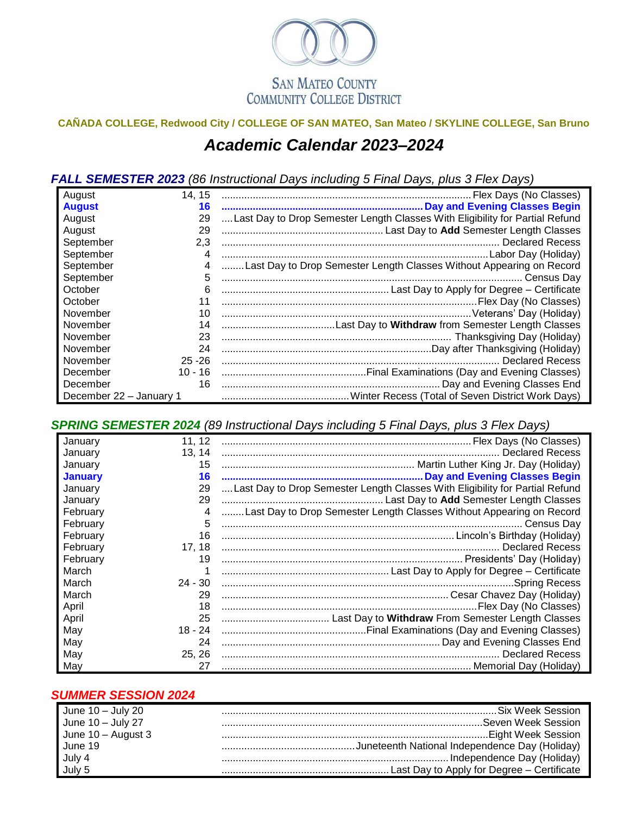

## **CAÑADA COLLEGE, Redwood City / COLLEGE OF SAN MATEO, San Mateo / SKYLINE COLLEGE, San Bruno** *Academic Calendar 2023–2024*

*FALL SEMESTER 2023 (86 Instructional Days including 5 Final Days, plus 3 Flex Days)*

| August                  | 14, 15    |                                                                              |
|-------------------------|-----------|------------------------------------------------------------------------------|
| <b>August</b>           | 16        |                                                                              |
| August                  | 29        | Last Day to Drop Semester Length Classes With Eligibility for Partial Refund |
| August                  | 29        |                                                                              |
| September               | 2,3       |                                                                              |
| September               | 4         |                                                                              |
| September               |           | Last Day to Drop Semester Length Classes Without Appearing on Record         |
| September               | 5         |                                                                              |
| October                 | 6         |                                                                              |
| October                 |           |                                                                              |
| November                | 10        |                                                                              |
| November                | 14        |                                                                              |
| November                | 23        |                                                                              |
| November                | 24        |                                                                              |
| November                | $25 - 26$ | <b>Declared Recess</b>                                                       |
| December                |           |                                                                              |
| December                | 16        |                                                                              |
| December 22 - January 1 |           |                                                                              |

*SPRING SEMESTER 2024 (89 Instructional Days including 5 Final Days, plus 3 Flex Days)*

| January        | 11.12     |                                                                              |
|----------------|-----------|------------------------------------------------------------------------------|
| January        | 13.14     |                                                                              |
| January        | 15        |                                                                              |
| <b>January</b> | 16        |                                                                              |
| January        | 29        | Last Day to Drop Semester Length Classes With Eligibility for Partial Refund |
| January        | 29        |                                                                              |
| February       | 4         | Last Day to Drop Semester Length Classes Without Appearing on Record         |
| February       | 5         | . Census Dav                                                                 |
| February       | 16        |                                                                              |
| February       | 17, 18    |                                                                              |
| February       | 19        |                                                                              |
| March          |           |                                                                              |
| March          | $24 - 30$ |                                                                              |
| March          | 29        |                                                                              |
| April          | 18        |                                                                              |
| April          | 25        |                                                                              |
| May            | 18 - 24   |                                                                              |
| May            | 24        |                                                                              |
| May            | 25.26     |                                                                              |
| May            | 27        |                                                                              |

## *SUMMER SESSION 2024*

| June 10 - July 20           | <b>Six Week Session</b>                                                                                                                                                                                                              |
|-----------------------------|--------------------------------------------------------------------------------------------------------------------------------------------------------------------------------------------------------------------------------------|
| June 10 - July 27           |                                                                                                                                                                                                                                      |
| June 10 - August 3          |                                                                                                                                                                                                                                      |
|                             |                                                                                                                                                                                                                                      |
|                             |                                                                                                                                                                                                                                      |
| June 19<br>July 4<br>July 5 | <b>Maritain Control of the Control Control Control Control Control Control Control Control Control Control Control Control Control Control Control Control Control Control Control Control Control Control Control Control Contr</b> |